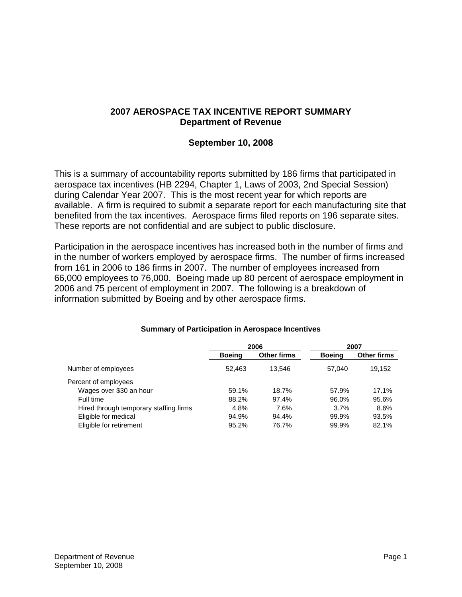## **2007 AEROSPACE TAX INCENTIVE REPORT SUMMARY Department of Revenue**

## **September 10, 2008**

This is a summary of accountability reports submitted by 186 firms that participated in aerospace tax incentives (HB 2294, Chapter 1, Laws of 2003, 2nd Special Session) during Calendar Year 2007. This is the most recent year for which reports are available. A firm is required to submit a separate report for each manufacturing site that benefited from the tax incentives. Aerospace firms filed reports on 196 separate sites. These reports are not confidential and are subject to public disclosure.

Participation in the aerospace incentives has increased both in the number of firms and in the number of workers employed by aerospace firms. The number of firms increased from 161 in 2006 to 186 firms in 2007. The number of employees increased from 66,000 employees to 76,000. Boeing made up 80 percent of aerospace employment in 2006 and 75 percent of employment in 2007. The following is a breakdown of information submitted by Boeing and by other aerospace firms.

|                                        | 2006          |             | 2007          |             |
|----------------------------------------|---------------|-------------|---------------|-------------|
|                                        | <b>Boeing</b> | Other firms | <b>Boeing</b> | Other firms |
| Number of employees                    | 52.463        | 13.546      | 57.040        | 19,152      |
| Percent of employees                   |               |             |               |             |
| Wages over \$30 an hour                | 59.1%         | 18.7%       | 57.9%         | 17.1%       |
| Full time                              | 88.2%         | 97.4%       | 96.0%         | 95.6%       |
| Hired through temporary staffing firms | 4.8%          | 7.6%        | 3.7%          | 8.6%        |
| Eligible for medical                   | 94.9%         | 94.4%       | 99.9%         | 93.5%       |
| Eligible for retirement                | 95.2%         | 76.7%       | 99.9%         | 82.1%       |

## **Summary of Participation in Aerospace Incentives**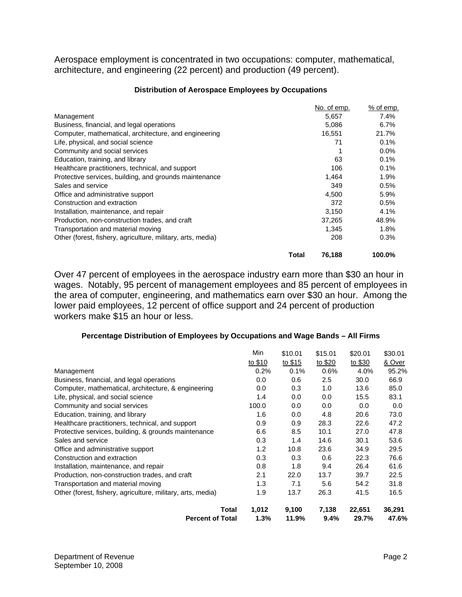Aerospace employment is concentrated in two occupations: computer, mathematical, architecture, and engineering (22 percent) and production (49 percent).

|                                                             | No. of emp. | % of emp. |
|-------------------------------------------------------------|-------------|-----------|
| Management                                                  | 5,657       | 7.4%      |
| Business, financial, and legal operations                   | 5,086       | 6.7%      |
| Computer, mathematical, architecture, and engineering       | 16,551      | 21.7%     |
| Life, physical, and social science                          | 71          | 0.1%      |
| Community and social services                               |             | 0.0%      |
| Education, training, and library                            | 63          | 0.1%      |
| Healthcare practitioners, technical, and support            | 106         | 0.1%      |
| Protective services, building, and grounds maintenance      | 1,464       | 1.9%      |
| Sales and service                                           | 349         | 0.5%      |
| Office and administrative support                           | 4.500       | 5.9%      |
| Construction and extraction                                 | 372         | 0.5%      |
| Installation, maintenance, and repair                       | 3,150       | 4.1%      |
| Production, non-construction trades, and craft              | 37,265      | 48.9%     |
| Transportation and material moving                          | 1,345       | 1.8%      |
| Other (forest, fishery, agriculture, military, arts, media) | 208         | 0.3%      |
| Total                                                       | 76,188      | 100.0%    |

#### **Distribution of Aerospace Employees by Occupations**

Over 47 percent of employees in the aerospace industry earn more than \$30 an hour in wages. Notably, 95 percent of management employees and 85 percent of employees in the area of computer, engineering, and mathematics earn over \$30 an hour. Among the lower paid employees, 12 percent of office support and 24 percent of production workers make \$15 an hour or less.

### **Percentage Distribution of Employees by Occupations and Wage Bands – All Firms**

|                                                             | Min     | \$10.01 | \$15.01 | \$20.01 | \$30.01 |
|-------------------------------------------------------------|---------|---------|---------|---------|---------|
|                                                             | to \$10 | to \$15 | to \$20 | to \$30 | & Over  |
| Management                                                  | 0.2%    | 0.1%    | 0.6%    | 4.0%    | 95.2%   |
| Business, financial, and legal operations                   | 0.0     | 0.6     | 2.5     | 30.0    | 66.9    |
| Computer, mathematical, architecture, & engineering         | 0.0     | 0.3     | 1.0     | 13.6    | 85.0    |
| Life, physical, and social science                          | 1.4     | 0.0     | 0.0     | 15.5    | 83.1    |
| Community and social services                               | 100.0   | 0.0     | 0.0     | 0.0     | 0.0     |
| Education, training, and library                            | 1.6     | 0.0     | 4.8     | 20.6    | 73.0    |
| Healthcare practitioners, technical, and support            | 0.9     | 0.9     | 28.3    | 22.6    | 47.2    |
| Protective services, building, & grounds maintenance        | 6.6     | 8.5     | 10.1    | 27.0    | 47.8    |
| Sales and service                                           | 0.3     | 1.4     | 14.6    | 30.1    | 53.6    |
| Office and administrative support                           | 1.2     | 10.8    | 23.6    | 34.9    | 29.5    |
| Construction and extraction                                 | 0.3     | 0.3     | 0.6     | 22.3    | 76.6    |
| Installation, maintenance, and repair                       | 0.8     | 1.8     | 9.4     | 26.4    | 61.6    |
| Production, non-construction trades, and craft              | 2.1     | 22.0    | 13.7    | 39.7    | 22.5    |
| Transportation and material moving                          | 1.3     | 7.1     | 5.6     | 54.2    | 31.8    |
| Other (forest, fishery, agriculture, military, arts, media) | 1.9     | 13.7    | 26.3    | 41.5    | 16.5    |
| Total                                                       | 1,012   | 9,100   | 7,138   | 22,651  | 36,291  |
| <b>Percent of Total</b>                                     | $1.3\%$ | 11.9%   | $9.4\%$ | 29.7%   | 47.6%   |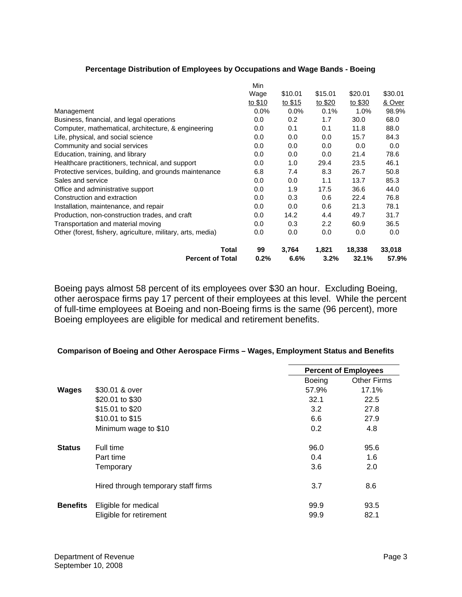#### **Percentage Distribution of Employees by Occupations and Wage Bands - Boeing**

|                                                             | Min     |         |               |         |         |
|-------------------------------------------------------------|---------|---------|---------------|---------|---------|
|                                                             | Wage    | \$10.01 | \$15.01       | \$20.01 | \$30.01 |
|                                                             | to \$10 | to \$15 | to \$20       | to \$30 | & Over  |
| Management                                                  | 0.0%    | $0.0\%$ | 0.1%          | 1.0%    | 98.9%   |
| Business, financial, and legal operations                   | 0.0     | 0.2     | 1.7           | 30.0    | 68.0    |
| Computer, mathematical, architecture, & engineering         | $0.0\,$ | 0.1     | 0.1           | 11.8    | 88.0    |
| Life, physical, and social science                          | 0.0     | 0.0     | 0.0           | 15.7    | 84.3    |
| Community and social services                               | 0.0     | 0.0     | 0.0           | 0.0     | 0.0     |
| Education, training, and library                            | 0.0     | 0.0     | 0.0           | 21.4    | 78.6    |
| Healthcare practitioners, technical, and support            | 0.0     | 1.0     | 29.4          | 23.5    | 46.1    |
| Protective services, building, and grounds maintenance      | 6.8     | 7.4     | 8.3           | 26.7    | 50.8    |
| Sales and service                                           | 0.0     | 0.0     | 1.1           | 13.7    | 85.3    |
| Office and administrative support                           | 0.0     | 1.9     | 17.5          | 36.6    | 44.0    |
| Construction and extraction                                 | 0.0     | 0.3     | 0.6           | 22.4    | 76.8    |
| Installation, maintenance, and repair                       | 0.0     | 0.0     | 0.6           | 21.3    | 78.1    |
| Production, non-construction trades, and craft              | 0.0     | 14.2    | 4.4           | 49.7    | 31.7    |
| Transportation and material moving                          | 0.0     | 0.3     | $2.2^{\circ}$ | 60.9    | 36.5    |
| Other (forest, fishery, agriculture, military, arts, media) | 0.0     | 0.0     | 0.0           | 0.0     | 0.0     |
| Total                                                       | 99      | 3,764   | 1,821         | 18,338  | 33,018  |
| <b>Percent of Total</b>                                     | 0.2%    | 6.6%    | $3.2\%$       | 32.1%   | 57.9%   |

Boeing pays almost 58 percent of its employees over \$30 an hour. Excluding Boeing, other aerospace firms pay 17 percent of their employees at this level. While the percent of full-time employees at Boeing and non-Boeing firms is the same (96 percent), more Boeing employees are eligible for medical and retirement benefits.

### **Comparison of Boeing and Other Aerospace Firms – Wages, Employment Status and Benefits**

|                 |                                     |               | <b>Percent of Employees</b> |  |
|-----------------|-------------------------------------|---------------|-----------------------------|--|
|                 |                                     | <b>Boeing</b> | <b>Other Firms</b>          |  |
| <b>Wages</b>    | \$30.01 & over                      | 57.9%         | 17.1%                       |  |
|                 | \$20.01 to \$30                     | 32.1          | 22.5                        |  |
|                 | \$15.01 to \$20                     | 3.2           | 27.8                        |  |
|                 | \$10.01 to \$15                     | 6.6           | 27.9                        |  |
|                 | Minimum wage to \$10                | 0.2           | 4.8                         |  |
| <b>Status</b>   | Full time                           | 96.0          | 95.6                        |  |
|                 | Part time                           | 0.4           | 1.6                         |  |
|                 | Temporary                           | 3.6           | 2.0                         |  |
|                 | Hired through temporary staff firms | 3.7           | 8.6                         |  |
| <b>Benefits</b> | Eligible for medical                | 99.9          | 93.5                        |  |
|                 | Eligible for retirement             | 99.9          | 82.1                        |  |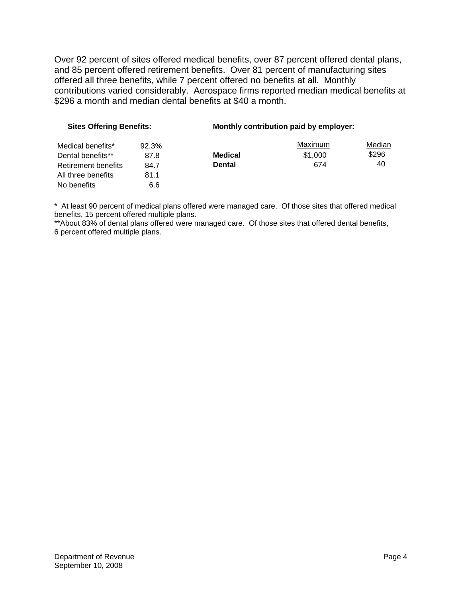Over 92 percent of sites offered medical benefits, over 87 percent offered dental plans, and 85 percent offered retirement benefits. Over 81 percent of manufacturing sites offered all three benefits, while 7 percent offered no benefits at all. Monthly contributions varied considerably. Aerospace firms reported median medical benefits at \$296 a month and median dental benefits at \$40 a month.

| <b>Sites Offering Benefits:</b> |       | Monthly contribution paid by employer: |         |        |  |
|---------------------------------|-------|----------------------------------------|---------|--------|--|
| Medical benefits*               | 92.3% |                                        | Maximum | Median |  |
| Dental benefits**               | 87.8  | <b>Medical</b>                         | \$1,000 | \$296  |  |
| Retirement benefits             | 84.7  | <b>Dental</b>                          | 674     | 40     |  |
| All three benefits              | 81.1  |                                        |         |        |  |
| No benefits                     | 6.6   |                                        |         |        |  |

\* At least 90 percent of medical plans offered were managed care. Of those sites that offered medical benefits, 15 percent offered multiple plans.

\*\*About 83% of dental plans offered were managed care. Of those sites that offered dental benefits, 6 percent offered multiple plans.